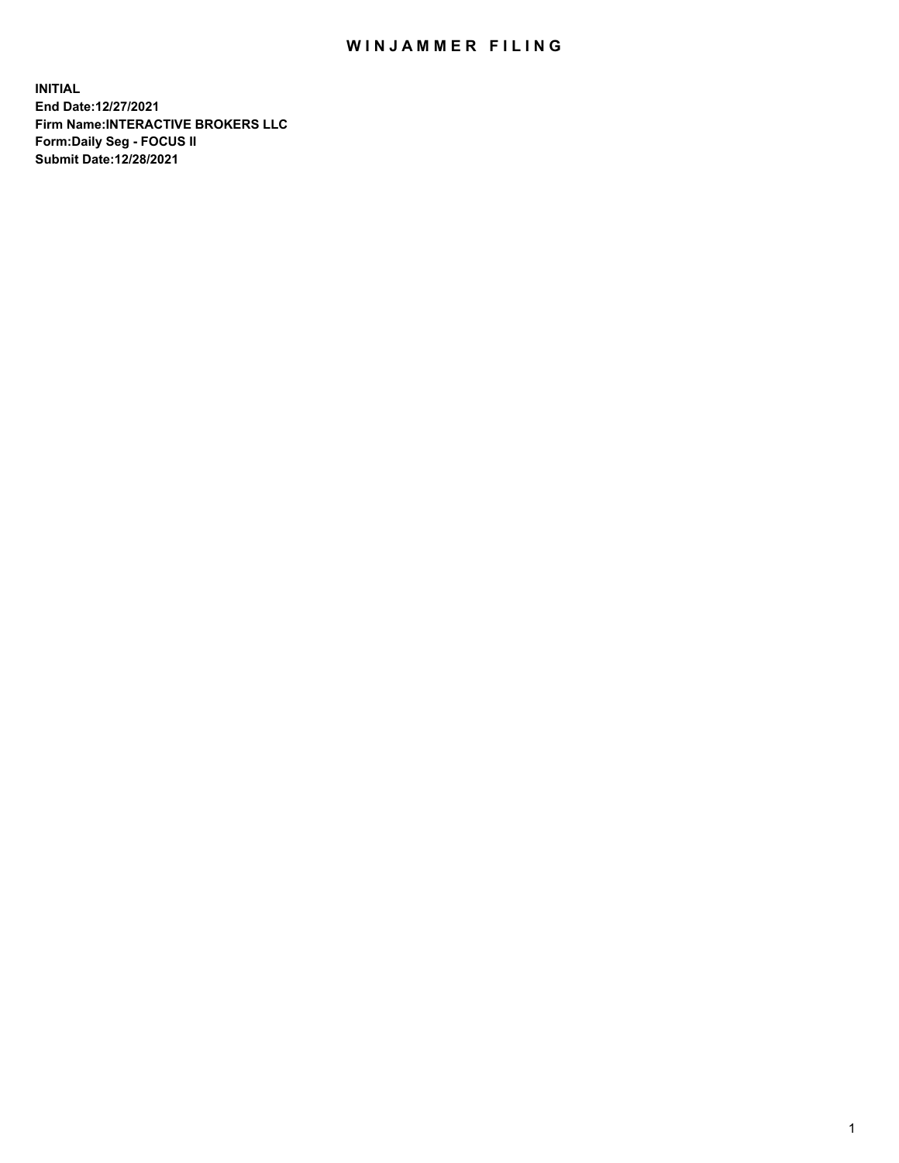## WIN JAMMER FILING

**INITIAL End Date:12/27/2021 Firm Name:INTERACTIVE BROKERS LLC Form:Daily Seg - FOCUS II Submit Date:12/28/2021**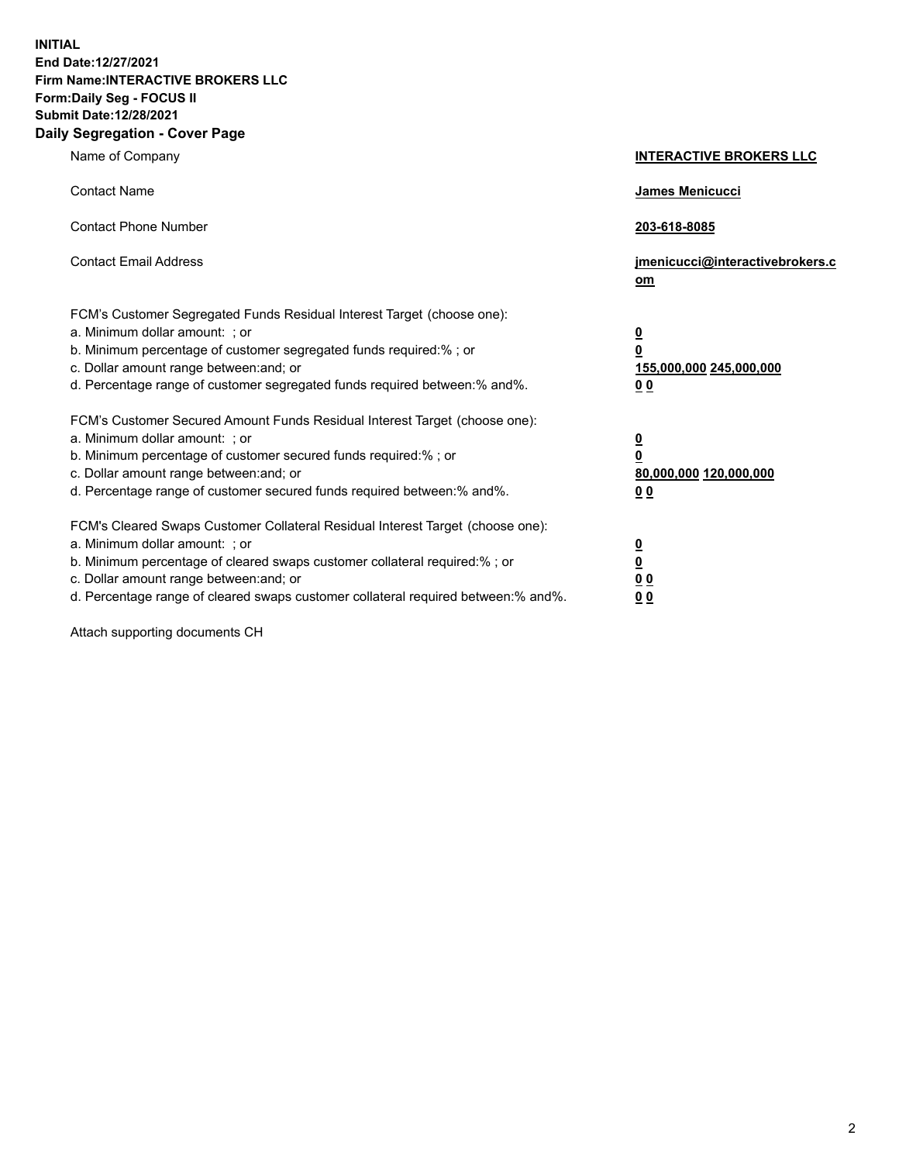**INITIAL End Date:12/27/2021 Firm Name:INTERACTIVE BROKERS LLC Form:Daily Seg - FOCUS II Submit Date:12/28/2021 Daily Segregation - Cover Page**

| Name of Company                                                                                                                                                                                                                                                                                                                | <b>INTERACTIVE BROKERS LLC</b>                                                                           |
|--------------------------------------------------------------------------------------------------------------------------------------------------------------------------------------------------------------------------------------------------------------------------------------------------------------------------------|----------------------------------------------------------------------------------------------------------|
| <b>Contact Name</b>                                                                                                                                                                                                                                                                                                            | James Menicucci                                                                                          |
| <b>Contact Phone Number</b>                                                                                                                                                                                                                                                                                                    | 203-618-8085                                                                                             |
| <b>Contact Email Address</b>                                                                                                                                                                                                                                                                                                   | jmenicucci@interactivebrokers.c<br>om                                                                    |
| FCM's Customer Segregated Funds Residual Interest Target (choose one):<br>a. Minimum dollar amount: ; or<br>b. Minimum percentage of customer segregated funds required:%; or<br>c. Dollar amount range between: and; or<br>d. Percentage range of customer segregated funds required between:% and%.                          | <u>0</u><br>$\overline{\mathbf{0}}$<br>155,000,000 245,000,000<br>0 <sub>0</sub>                         |
| FCM's Customer Secured Amount Funds Residual Interest Target (choose one):<br>a. Minimum dollar amount: ; or<br>b. Minimum percentage of customer secured funds required:%; or<br>c. Dollar amount range between: and; or<br>d. Percentage range of customer secured funds required between:% and%.                            | <u>0</u><br>$\overline{\mathbf{0}}$<br>80,000,000 120,000,000<br><u>00</u>                               |
| FCM's Cleared Swaps Customer Collateral Residual Interest Target (choose one):<br>a. Minimum dollar amount: ; or<br>b. Minimum percentage of cleared swaps customer collateral required:% ; or<br>c. Dollar amount range between: and; or<br>d. Percentage range of cleared swaps customer collateral required between:% and%. | $\overline{\mathbf{0}}$<br>$\underline{\mathbf{0}}$<br>$\underline{0}$ $\underline{0}$<br>0 <sub>0</sub> |

Attach supporting documents CH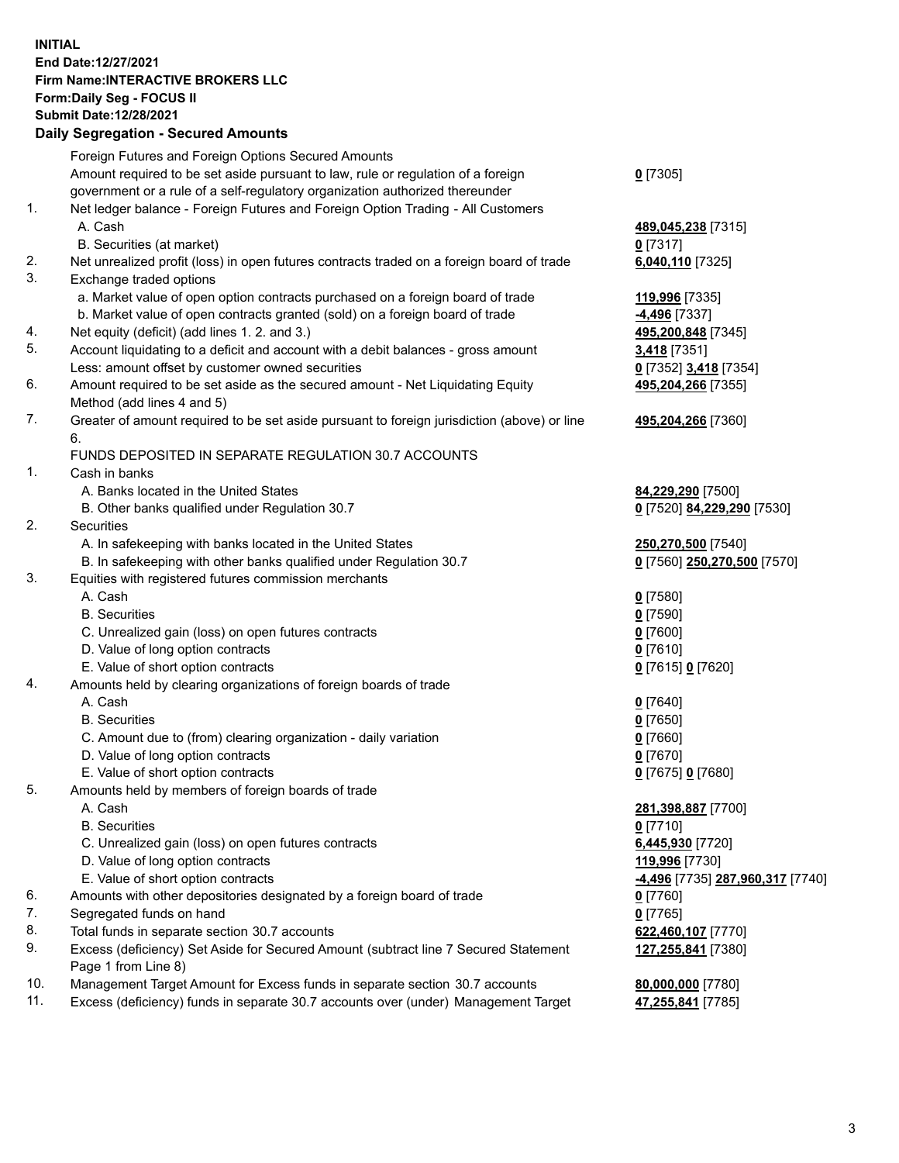## **INITIAL End Date:12/27/2021 Firm Name:INTERACTIVE BROKERS LLC Form:Daily Seg - FOCUS II Submit Date:12/28/2021**

|     | <b>Daily Segregation - Secured Amounts</b>                                                  |                                  |
|-----|---------------------------------------------------------------------------------------------|----------------------------------|
|     | Foreign Futures and Foreign Options Secured Amounts                                         |                                  |
|     | Amount required to be set aside pursuant to law, rule or regulation of a foreign            | $0$ [7305]                       |
|     | government or a rule of a self-regulatory organization authorized thereunder                |                                  |
| 1.  | Net ledger balance - Foreign Futures and Foreign Option Trading - All Customers             |                                  |
|     | A. Cash                                                                                     | 489,045,238 [7315]               |
|     | B. Securities (at market)                                                                   | $0$ [7317]                       |
| 2.  | Net unrealized profit (loss) in open futures contracts traded on a foreign board of trade   | 6,040,110 [7325]                 |
| 3.  | Exchange traded options                                                                     |                                  |
|     | a. Market value of open option contracts purchased on a foreign board of trade              | 119,996 [7335]                   |
|     | b. Market value of open contracts granted (sold) on a foreign board of trade                | <b>4,496</b> [7337]              |
| 4.  | Net equity (deficit) (add lines 1. 2. and 3.)                                               | 495,200,848 [7345]               |
| 5.  | Account liquidating to a deficit and account with a debit balances - gross amount           | 3,418 [7351]                     |
|     | Less: amount offset by customer owned securities                                            | 0 [7352] 3,418 [7354]            |
| 6.  | Amount required to be set aside as the secured amount - Net Liquidating Equity              | 495,204,266 [7355]               |
|     | Method (add lines 4 and 5)                                                                  |                                  |
| 7.  | Greater of amount required to be set aside pursuant to foreign jurisdiction (above) or line | 495,204,266 [7360]               |
|     | 6.                                                                                          |                                  |
|     | FUNDS DEPOSITED IN SEPARATE REGULATION 30.7 ACCOUNTS                                        |                                  |
| 1.  | Cash in banks                                                                               |                                  |
|     | A. Banks located in the United States                                                       | 84,229,290 [7500]                |
|     | B. Other banks qualified under Regulation 30.7                                              | 0 [7520] 84,229,290 [7530]       |
| 2.  | Securities                                                                                  |                                  |
|     | A. In safekeeping with banks located in the United States                                   | 250,270,500 [7540]               |
|     | B. In safekeeping with other banks qualified under Regulation 30.7                          | 0 [7560] 250,270,500 [7570]      |
| 3.  | Equities with registered futures commission merchants                                       |                                  |
|     | A. Cash                                                                                     | $0$ [7580]                       |
|     | <b>B.</b> Securities                                                                        | <u>0</u> [7590]                  |
|     | C. Unrealized gain (loss) on open futures contracts                                         | $0$ [7600]                       |
|     | D. Value of long option contracts                                                           | <u>0</u> [7610]                  |
|     | E. Value of short option contracts                                                          | 0 [7615] 0 [7620]                |
| 4.  | Amounts held by clearing organizations of foreign boards of trade                           |                                  |
|     | A. Cash                                                                                     | $0$ [7640]                       |
|     | <b>B.</b> Securities                                                                        | $0$ [7650]                       |
|     | C. Amount due to (from) clearing organization - daily variation                             | $0$ [7660]                       |
|     | D. Value of long option contracts                                                           | $0$ [7670]                       |
|     | E. Value of short option contracts                                                          | 0 [7675] 0 [7680]                |
| 5.  | Amounts held by members of foreign boards of trade                                          |                                  |
|     | A. Cash                                                                                     | 281,398,887 [7700]               |
|     | <b>B.</b> Securities                                                                        | $0$ [7710]                       |
|     | C. Unrealized gain (loss) on open futures contracts                                         | 6,445,930 [7720]                 |
|     | D. Value of long option contracts                                                           | 119,996 [7730]                   |
|     | E. Value of short option contracts                                                          | -4,496 [7735] 287,960,317 [7740] |
| 6.  | Amounts with other depositories designated by a foreign board of trade                      | $0$ [7760]                       |
| 7.  | Segregated funds on hand                                                                    | $0$ [7765]                       |
| 8.  | Total funds in separate section 30.7 accounts                                               | 622,460,107 [7770]               |
| 9.  | Excess (deficiency) Set Aside for Secured Amount (subtract line 7 Secured Statement         | 127,255,841 [7380]               |
| 10. | Page 1 from Line 8)                                                                         |                                  |
| 11. | Management Target Amount for Excess funds in separate section 30.7 accounts                 | 80,000,000 [7780]                |
|     | Excess (deficiency) funds in separate 30.7 accounts over (under) Management Target          | 47,255,841 [7785]                |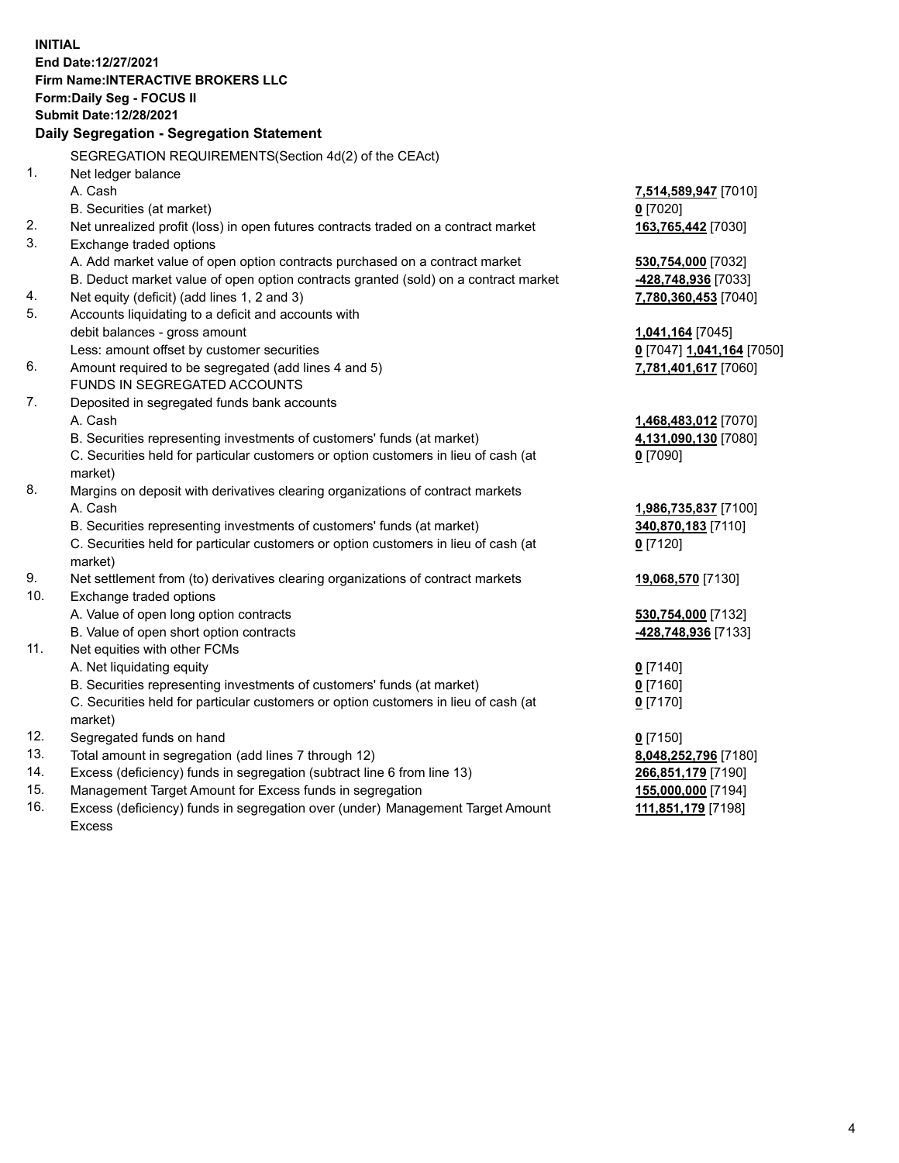**INITIAL End Date:12/27/2021 Firm Name:INTERACTIVE BROKERS LLC Form:Daily Seg - FOCUS II Submit Date:12/28/2021 Daily Segregation - Segregation Statement** SEGREGATION REQUIREMENTS(Section 4d(2) of the CEAct) 1. Net ledger balance A. Cash **7,514,589,947** [7010] B. Securities (at market) **0** [7020] 2. Net unrealized profit (loss) in open futures contracts traded on a contract market **163,765,442** [7030] 3. Exchange traded options A. Add market value of open option contracts purchased on a contract market **530,754,000** [7032] B. Deduct market value of open option contracts granted (sold) on a contract market **-428,748,936** [7033] 4. Net equity (deficit) (add lines 1, 2 and 3) **7,780,360,453** [7040] 5. Accounts liquidating to a deficit and accounts with debit balances - gross amount **1,041,164** [7045] Less: amount offset by customer securities **0** [7047] **1,041,164** [7050] 6. Amount required to be segregated (add lines 4 and 5) **7,781,401,617** [7060] FUNDS IN SEGREGATED ACCOUNTS 7. Deposited in segregated funds bank accounts A. Cash **1,468,483,012** [7070] B. Securities representing investments of customers' funds (at market) **4,131,090,130** [7080] C. Securities held for particular customers or option customers in lieu of cash (at market) **0** [7090] 8. Margins on deposit with derivatives clearing organizations of contract markets A. Cash **1,986,735,837** [7100] B. Securities representing investments of customers' funds (at market) **340,870,183** [7110] C. Securities held for particular customers or option customers in lieu of cash (at market) **0** [7120] 9. Net settlement from (to) derivatives clearing organizations of contract markets **19,068,570** [7130] 10. Exchange traded options A. Value of open long option contracts **530,754,000** [7132] B. Value of open short option contracts **-428,748,936** [7133] 11. Net equities with other FCMs A. Net liquidating equity **0** [7140] B. Securities representing investments of customers' funds (at market) **0** [7160] C. Securities held for particular customers or option customers in lieu of cash (at market) **0** [7170] 12. Segregated funds on hand **0** [7150] 13. Total amount in segregation (add lines 7 through 12) **8,048,252,796** [7180] 14. Excess (deficiency) funds in segregation (subtract line 6 from line 13) **266,851,179** [7190] 15. Management Target Amount for Excess funds in segregation **155,000,000** [7194] 16. Excess (deficiency) funds in segregation over (under) Management Target Amount **111,851,179** [7198]

Excess